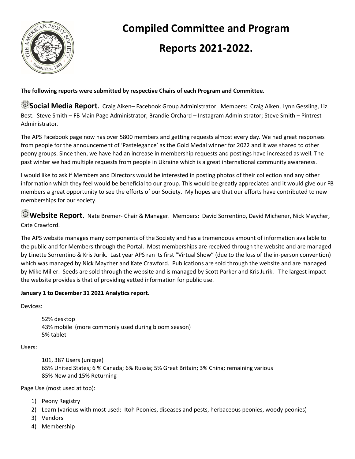

# **Compiled Committee and Program**

# **Reports 2021-2022.**

### **The following reports were submitted by respective Chairs of each Program and Committee.**

**Social Media Report**. Craig Aiken– Facebook Group Administrator. Members: Craig Aiken, Lynn Gessling, Liz Best. Steve Smith – FB Main Page Administrator; Brandie Orchard – Instagram Administrator; Steve Smith – Pintrest Administrator.

The APS Facebook page now has over 5800 members and getting requests almost every day. We had great responses from people for the announcement of 'Pastelegance' as the Gold Medal winner for 2022 and it was shared to other peony groups. Since then, we have had an increase in membership requests and postings have increased as well. The past winter we had multiple requests from people in Ukraine which is a great international community awareness.

I would like to ask if Members and Directors would be interested in posting photos of their collection and any other information which they feel would be beneficial to our group. This would be greatly appreciated and it would give our FB members a great opportunity to see the efforts of our Society. My hopes are that our efforts have contributed to new memberships for our society.

**Website Report**. Nate Bremer- Chair & Manager. Members: David Sorrentino, David Michener, Nick Maycher, Cate Crawford.

The APS website manages many components of the Society and has a tremendous amount of information available to the public and for Members through the Portal. Most memberships are received through the website and are managed by Linette Sorrentino & Kris Jurik. Last year APS ran its first "Virtual Show" (due to the loss of the in-person convention) which was managed by Nick Maycher and Kate Crawford. Publications are sold through the website and are managed by Mike Miller. Seeds are sold through the website and is managed by Scott Parker and Kris Jurik. The largest impact the website provides is that of providing vetted information for public use.

### **January 1 to December 31 2021 Analytics report.**

Devices:

52% desktop 43% mobile (more commonly used during bloom season) 5% tablet

Users:

101, 387 Users (unique) 65% United States; 6 % Canada; 6% Russia; 5% Great Britain; 3% China; remaining various 85% New and 15% Returning

Page Use (most used at top):

- 1) Peony Registry
- 2) Learn (various with most used: Itoh Peonies, diseases and pests, herbaceous peonies, woody peonies)
- 3) Vendors
- 4) Membership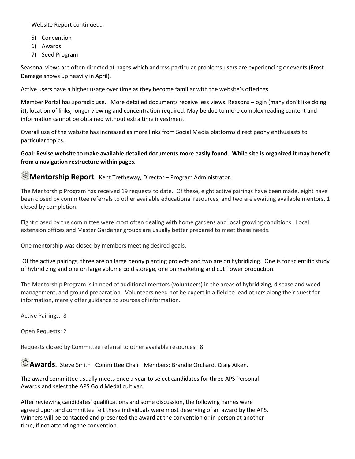Website Report continued…

- 5) Convention
- 6) Awards
- 7) Seed Program

Seasonal views are often directed at pages which address particular problems users are experiencing or events (Frost Damage shows up heavily in April).

Active users have a higher usage over time as they become familiar with the website's offerings.

Member Portal has sporadic use. More detailed documents receive less views. Reasons –login (many don't like doing it), location of links, longer viewing and concentration required. May be due to more complex reading content and information cannot be obtained without extra time investment.

Overall use of the website has increased as more links from Social Media platforms direct peony enthusiasts to particular topics.

**Goal: Revise website to make available detailed documents more easily found. While site is organized it may benefit from a navigation restructure within pages.**

**Mentorship Report**. Kent Tretheway, Director – Program Administrator.

The Mentorship Program has received 19 requests to date. Of these, eight active pairings have been made, eight have been closed by committee referrals to other available educational resources, and two are awaiting available mentors, 1 closed by completion.

Eight closed by the committee were most often dealing with home gardens and local growing conditions. Local extension offices and Master Gardener groups are usually better prepared to meet these needs.

One mentorship was closed by members meeting desired goals.

Of the active pairings, three are on large peony planting projects and two are on hybridizing. One is for scientific study of hybridizing and one on large volume cold storage, one on marketing and cut flower production.

The Mentorship Program is in need of additional mentors (volunteers) in the areas of hybridizing, disease and weed management, and ground preparation. Volunteers need not be expert in a field to lead others along their quest for information, merely offer guidance to sources of information.

Active Pairings: 8

Open Requests: 2

Requests closed by Committee referral to other available resources: 8

**Awards**. Steve Smith– Committee Chair. Members: Brandie Orchard, Craig Aiken.

The award committee usually meets once a year to select candidates for three APS Personal Awards and select the APS Gold Medal cultivar.

After reviewing candidates' qualifications and some discussion, the following names were agreed upon and committee felt these individuals were most deserving of an award by the APS. Winners will be contacted and presented the award at the convention or in person at another time, if not attending the convention.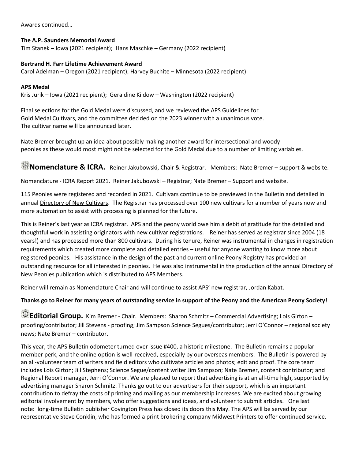Awards continued…

#### **The A.P. Saunders Memorial Award**

Tim Stanek – Iowa (2021 recipient); Hans Maschke – Germany (2022 recipient)

#### **Bertrand H. Farr Lifetime Achievement Award**

Carol Adelman – Oregon (2021 recipient); Harvey Buchite – Minnesota (2022 recipient)

#### **APS Medal**

Kris Jurik – Iowa (2021 recipient); Geraldine Kildow – Washington (2022 recipient)

Final selections for the Gold Medal were discussed, and we reviewed the APS Guidelines for Gold Medal Cultivars, and the committee decided on the 2023 winner with a unanimous vote. The cultivar name will be announced later.

Nate Bremer brought up an idea about possibly making another award for intersectional and woody peonies as these would most might not be selected for the Gold Medal due to a number of limiting variables.

**Nomenclature & ICRA.** Reiner Jakubowski, Chair & Registrar. Members: Nate Bremer – support & website.

Nomenclature - ICRA Report 2021. Reiner Jakubowski – Registrar; Nate Bremer – Support and website.

115 Peonies were registered and recorded in 2021. Cultivars continue to be previewed in the Bulletin and detailed in annual Directory of New Cultivars. The Registrar has processed over 100 new cultivars for a number of years now and more automation to assist with processing is planned for the future.

This is Reiner's last year as ICRA registrar. APS and the peony world owe him a debit of gratitude for the detailed and thoughtful work in assisting originators with new cultivar registrations. Reiner has served as registrar since 2004 (18 years!) and has processed more than 800 cultivars. During his tenure, Reiner was instrumental in changes in registration requirements which created more complete and detailed entries – useful for anyone wanting to know more about registered peonies. His assistance in the design of the past and current online Peony Registry has provided an outstanding resource for all interested in peonies. He was also instrumental in the production of the annual Directory of New Peonies publication which is distributed to APS Members.

Reiner will remain as Nomenclature Chair and will continue to assist APS' new registrar, Jordan Kabat.

#### **Thanks go to Reiner for many years of outstanding service in support of the Peony and the American Peony Society!**

**Editorial Group.** Kim Bremer - Chair. Members: Sharon Schmitz – Commercial Advertising; Lois Girton – proofing/contributor; Jill Stevens - proofing; Jim Sampson Science Segues/contributor; Jerri O'Connor – regional society news; Nate Bremer – contributor.

This year, the APS Bulletin odometer turned over issue #400, a historic milestone. The Bulletin remains a popular member perk, and the online option is well-received, especially by our overseas members. The Bulletin is powered by an all-volunteer team of writers and field editors who cultivate articles and photos; edit and proof. The core team includes Lois Girton; Jill Stephens; Science Segue/content writer Jim Sampson; Nate Bremer, content contributor; and Regional Report manager, Jerri O'Connor. We are pleased to report that advertising is at an all-time high, supported by advertising manager Sharon Schmitz. Thanks go out to our advertisers for their support, which is an important contribution to defray the costs of printing and mailing as our membership increases. We are excited about growing editorial involvement by members, who offer suggestions and ideas, and volunteer to submit articles. One last note: long-time Bulletin publisher Covington Press has closed its doors this May. The APS will be served by our representative Steve Conklin, who has formed a print brokering company Midwest Printers to offer continued service.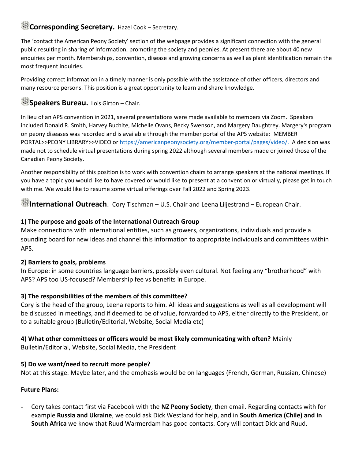## **Corresponding Secretary.** Hazel Cook – Secretary.

The 'contact the American Peony Society' section of the webpage provides a significant connection with the general public resulting in sharing of information, promoting the society and peonies. At present there are about 40 new enquiries per month. Memberships, convention, disease and growing concerns as well as plant identification remain the most frequent inquiries.

Providing correct information in a timely manner is only possible with the assistance of other officers, directors and many resource persons. This position is a great opportunity to learn and share knowledge.

## **Speakers Bureau.** Lois Girton – Chair.

In lieu of an APS convention in 2021, several presentations were made available to members via Zoom. Speakers included Donald R. Smith, Harvey Buchite, Michelle Ovans, Becky Swenson, and Margery Daughtrey. Margery's program on peony diseases was recorded and is available through the member portal of the APS website: MEMBER PORTAL>>PEONY LIBRARY>>VIDEO o[r https://americanpeonysociety.org/member-portal/pages/video/.](https://americanpeonysociety.org/member-portal/pages/video/) A decision was made not to schedule virtual presentations during spring 2022 although several members made or joined those of the Canadian Peony Society.

Another responsibility of this position is to work with convention chairs to arrange speakers at the national meetings. If you have a topic you would like to have covered or would like to present at a convention or virtually, please get in touch with me. We would like to resume some virtual offerings over Fall 2022 and Spring 2023.

**International Outreach**. Cory Tischman – U.S. Chair and Leena Liljestrand – European Chair.

## **1) The purpose and goals of the International Outreach Group**

Make connections with international entities, such as growers, organizations, individuals and provide a sounding board for new ideas and channel this information to appropriate individuals and committees within APS.

## **2) Barriers to goals, problems**

In Europe: in some countries language barriers, possibly even cultural. Not feeling any "brotherhood" with APS? APS too US-focused? Membership fee vs benefits in Europe.

## **3) The responsibilities of the members of this committee?**

Cory is the head of the group, Leena reports to him. All ideas and suggestions as well as all development will be discussed in meetings, and if deemed to be of value, forwarded to APS, either directly to the President, or to a suitable group (Bulletin/Editorial, Website, Social Media etc)

# **4) What other committees or officers would be most likely communicating with often?** Mainly

Bulletin/Editorial, Website, Social Media, the President

## **5) Do we want/need to recruit more people?**

Not at this stage. Maybe later, and the emphasis would be on languages (French, German, Russian, Chinese)

## **Future Plans:**

**-** Cory takes contact first via Facebook with the **NZ Peony Society**, then email. Regarding contacts with for example **Russia and Ukraine**, we could ask Dick Westland for help, and in **South America (Chile) and in South Africa** we know that Ruud Warmerdam has good contacts. Cory will contact Dick and Ruud.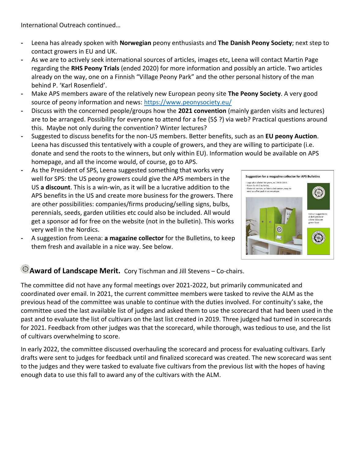International Outreach continued…

- **-** Leena has already spoken with **Norwegian** peony enthusiasts and **The Danish Peony Society**; next step to contact growers in EU and UK.
- **-** As we are to actively seek international sources of articles, images etc, Leena will contact Martin Page regarding the **RHS Peony Trials** (ended 2020) for more information and possibly an article. Two articles already on the way, one on a Finnish "Village Peony Park" and the other personal history of the man behind P. 'Karl Rosenfield'.
- **-** Make APS members aware of the relatively new European peony site **The Peony Society**. A very good source of peony information and news:<https://www.peonysociety.eu/>
- **-** Discuss with the concerned people/groups how the **2021 convention** (mainly garden visits and lectures) are to be arranged. Possibility for everyone to attend for a fee (5\$ ?) via web? Practical questions around this. Maybe not only during the convention? Winter lectures?
- **-** Suggested to discuss benefits for the non-US members. Better benefits, such as an **EU peony Auction**. Leena has discussed this tentatively with a couple of growers, and they are willing to participate (i.e. donate and send the roots to the winners, but only within EU). Information would be available on APS homepage, and all the income would, of course, go to APS.
- **-** As the President of SPS, Leena suggested something that works very well for SPS: the US peony growers could give the APS members in the US **a discount**. This is a win-win, as it will be a lucrative addition to the APS benefits in the US and create more business for the growers. There are other possibilities: companies/firms producing/selling signs, bulbs, perennials, seeds, garden utilities etc could also be included. All would get a sponsor ad for free on the website (not in the bulletin). This works very well in the Nordics.
	- **-** A suggestion from Leena: **a magazine collector** for the Bulletins, to keep them fresh and available in a nice way. See below.



## **Award of Landscape Merit.** Cory Tischman and Jill Stevens – Co-chairs.

The committee did not have any formal meetings over 2021-2022, but primarily communicated and coordinated over email. In 2021, the current committee members were tasked to revive the ALM as the previous head of the committee was unable to continue with the duties involved. For continuity's sake, the committee used the last available list of judges and asked them to use the scorecard that had been used in the past and to evaluate the list of cultivars on the last list created in 2019. Three judged had turned in scorecards for 2021. Feedback from other judges was that the scorecard, while thorough, was tedious to use, and the list of cultivars overwhelming to score.

In early 2022, the committee discussed overhauling the scorecard and process for evaluating cultivars. Early drafts were sent to judges for feedback until and finalized scorecard was created. The new scorecard was sent to the judges and they were tasked to evaluate five cultivars from the previous list with the hopes of having enough data to use this fall to award any of the cultivars with the ALM.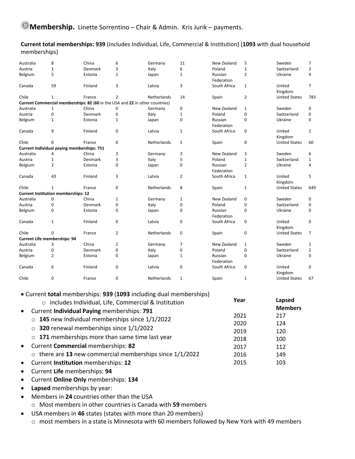**Current total memberships: 939** (includes Individual, Life, Commercial & Institution) (**1093** with dual household memberships)

| Australia | 8                                          | China                                                                        | 6              | Germany     | 11             | New Zealand           | 5              | Sweden               | 7              |
|-----------|--------------------------------------------|------------------------------------------------------------------------------|----------------|-------------|----------------|-----------------------|----------------|----------------------|----------------|
| Austria   | 1                                          | Denmark                                                                      | 3              | Italy       | 6              | Poland                | $\mathbf 1$    | Switzerland          | 3              |
| Belgium   | 5                                          | Estonia                                                                      | $\mathbf{1}$   | Japan       | $\mathbf{1}$   | Russian<br>Federation | $\overline{2}$ | Ukraine              | 4              |
| Canada    | 59                                         | Finland                                                                      | 3              | Latvia      | 3              | South Africa          | 1              | United<br>Kingdom    | $\overline{7}$ |
| Chile     | $\mathbf{1}$                               | France                                                                       | 2              | Netherlands | 14             | Spain                 | $\overline{2}$ | <b>United States</b> | 783            |
|           |                                            | Current Commercial memberships: 82 (60 in the USA and 22 in other countries) |                |             |                |                       |                |                      |                |
| Australia | $\mathbf{1}$                               | China                                                                        | $\mathbf 0$    | Germany     | 0              | New Zealand           | $\mathbf{1}$   | Sweden               | 0              |
| Austria   | 0                                          | Denmark                                                                      | 0              | Italy       | 1              | Poland                | $\mathbf 0$    | Switzerland          | $\mathbf 0$    |
| Belgium   | 1                                          | Estonia                                                                      | $\mathbf{1}$   | Japan       | 0              | Russian<br>Federation | 0              | Ukraine              | 0              |
| Canada    | 9                                          | Finland                                                                      | 0              | Latvia      | $\mathbf{1}$   | South Africa          | 0              | United<br>Kingdom    | $\overline{2}$ |
| Chile     | 0                                          | France                                                                       | 0              | Netherlands | 5              | Spain                 | 0              | <b>United States</b> | 60             |
|           |                                            | Current Individual paying memberships: 751                                   |                |             |                |                       |                |                      |                |
| Australia | 4                                          | China                                                                        | 3              | Germany     | 3              | New Zealand           | 3              | Sweden               | 6              |
| Austria   | $\mathbf 1$                                | Denmark                                                                      | 3              | Italy       | 5              | Poland                | $\mathbf{1}$   | Switzerland          | $\mathbf{1}$   |
| Belgium   | 2                                          | Estonia                                                                      | 0              | Japan       | 0              | Russian<br>Federation | 2              | Ukraine              | 4              |
| Canada    | 43                                         | Finland                                                                      | 3              | Latvia      | $\overline{2}$ | South Africa          | $\mathbf{1}$   | United<br>Kingdom    | 5              |
| Chile     | 1                                          | France                                                                       | $\mathbf 0$    | Netherlands | 8              | Spain                 | $\mathbf{1}$   | <b>United States</b> | 649            |
|           | <b>Current Institution memberships: 12</b> |                                                                              |                |             |                |                       |                |                      |                |
| Australia | 0                                          | China                                                                        | $\mathbf{1}$   | Germany     | $\mathbf 1$    | New Zealand           | 0              | Sweden               | 0              |
| Austria   | 0                                          | Denmark                                                                      | 0              | Italy       | 0              | Poland                | $\mathbf 0$    | Switzerland          | 0              |
| Belgium   | 0                                          | Estonia                                                                      | 0              | Japan       | 0              | Russian<br>Federation | 0              | Ukraine              | 0              |
| Canada    | 1                                          | Finland                                                                      | $\mathbf 0$    | Latvia      | 0              | South Africa          | 0              | United<br>Kingdom    | 0              |
| Chile     | 0                                          | France                                                                       | $\overline{2}$ | Netherlands | 0              | Spain                 | 0              | <b>United States</b> | $\overline{7}$ |
|           | <b>Current Life memberships: 94</b>        |                                                                              |                |             |                |                       |                |                      |                |
| Australia | 3                                          | China                                                                        | 2              | Germany     | 7              | New Zealand           | $\mathbf{1}$   | Sweden               | 1              |
| Austria   | 0                                          | Denmark                                                                      | 0              | Italy       | 0              | Poland                | 0              | Switzerland          | $\overline{2}$ |
| Belgium   | 2                                          | Estonia                                                                      | 0              | Japan       | 1              | Russian<br>Federation | 0              | Ukraine              | 0              |
| Canada    | 6                                          | Finland                                                                      | 0              | Latvia      | 0              | South Africa          | 0              | United<br>Kingdom    | 0              |
| Chile     | 0                                          | France                                                                       | 0              | Netherlands | $\mathbf{1}$   | Spain                 | $\mathbf{1}$   | <b>United States</b> | 67             |

|  | • Current total memberships: 939 (1093 including dual memberships) |
|--|--------------------------------------------------------------------|
|--|--------------------------------------------------------------------|

| carrent total includerships. Sos (1000 including dual includerships)<br>o includes Individual, Life, Commercial & Institution | Year         | Lapsed         |
|-------------------------------------------------------------------------------------------------------------------------------|--------------|----------------|
| • Current Individual Paying memberships: 791                                                                                  |              | <b>Members</b> |
| $\circ$ 145 new Individual memberships since 1/1/2022                                                                         | 2021<br>2020 | 217<br>124     |
| $\circ$ 320 renewal memberships since 1/1/2022                                                                                | 2019         | 120            |
| $\circ$ 171 memberships more than same time last year                                                                         | 2018         | 100            |
| • Current Commercial memberships: 82                                                                                          | 2017         | 112            |
| $\circ$ there are 13 new commercial memberships since 1/1/2022                                                                | 2016         | 149            |
| • Current Institution memberships: 12                                                                                         | 2015         | 103            |
|                                                                                                                               |              |                |

- Current **Life** memberships: **94**
- Current **Online Only** memberships: **134**
- **Lapsed** memberships by year:
- Members in **24** countries other than the USA
	- o Most members in other countries is Canada with **59** members
- USA members in **46** states (states with more than 20 members)
	- o most members in a state is Minnesota with 60 members followed by New York with 49 members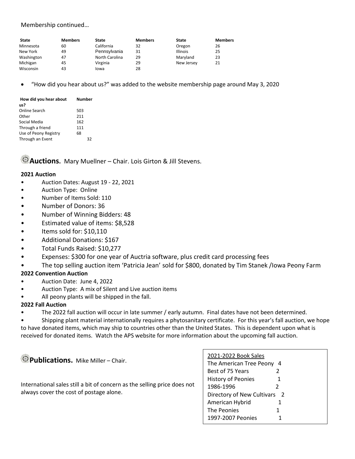### Membership continued…

| <b>State</b> | <b>Members</b> | State          | <b>Members</b> | State           | <b>Members</b> |
|--------------|----------------|----------------|----------------|-----------------|----------------|
| Minnesota    | 60             | California     | 32             | Oregon          | 26             |
| New York     | 49             | Pennsylvania   | 31             | <b>Illinois</b> | 25             |
| Washington   | 47             | North Carolina | 29             | Marvland        | 23             |
| Michigan     | 45             | Virginia       | 29             | New Jersey      | 21             |
| Wisconsin    | 43             | lowa           | 28             |                 |                |

• "How did you hear about us?" was added to the website membership page around May 3, 2020

| How did you hear about | Number |
|------------------------|--------|
| us?                    |        |
| <b>Online Search</b>   | 503    |
| Other                  | 211    |
| Social Media           | 162    |
| Through a friend       | 111    |
| Use of Peony Registry  | 68     |
| Through an Event       | 32     |

**Auctions.** Mary Muellner – Chair. Lois Girton & Jill Stevens.

#### **2021 Auction**

- Auction Dates: August 19 22, 2021
- Auction Type: Online
- Number of Items Sold: 110
- Number of Donors: 36
- Number of Winning Bidders: 48
- Estimated value of items: \$8,528
- Items sold for: \$10,110
- Additional Donations: \$167
- Total Funds Raised: \$10,277
- Expenses: \$300 for one year of Auctria software, plus credit card processing fees
- The top selling auction item 'Patricia Jean' sold for \$800, donated by Tim Stanek /Iowa Peony Farm

#### **2022 Convention Auction**

- Auction Date: June 4, 2022
- Auction Type: A mix of Silent and Live auction items
- All peony plants will be shipped in the fall.

#### **2022 Fall Auction**

The 2022 fall auction will occur in late summer / early autumn. Final dates have not been determined.

• Shipping plant material internationally requires a phytosanitary certificate. For this year's fall auction, we hope to have donated items, which may ship to countries other than the United States. This is dependent upon what is received for donated items. Watch the APS website for more information about the upcoming fall auction.

**Publications.** Mike Miller – Chair.

International sales still a bit of concern as the selling price does not always cover the cost of postage alone.

| 2021-2022 Book Sales          |   |  |  |  |
|-------------------------------|---|--|--|--|
| The American Tree Peony<br>-4 |   |  |  |  |
| Best of 75 Years              | 2 |  |  |  |
| <b>History of Peonies</b>     | 1 |  |  |  |
| 1986-1996                     | 2 |  |  |  |
| Directory of New Cultivars 2  |   |  |  |  |
| American Hybrid               | 1 |  |  |  |
| The Peonies                   | 1 |  |  |  |
| 1997-2007 Peonies             |   |  |  |  |